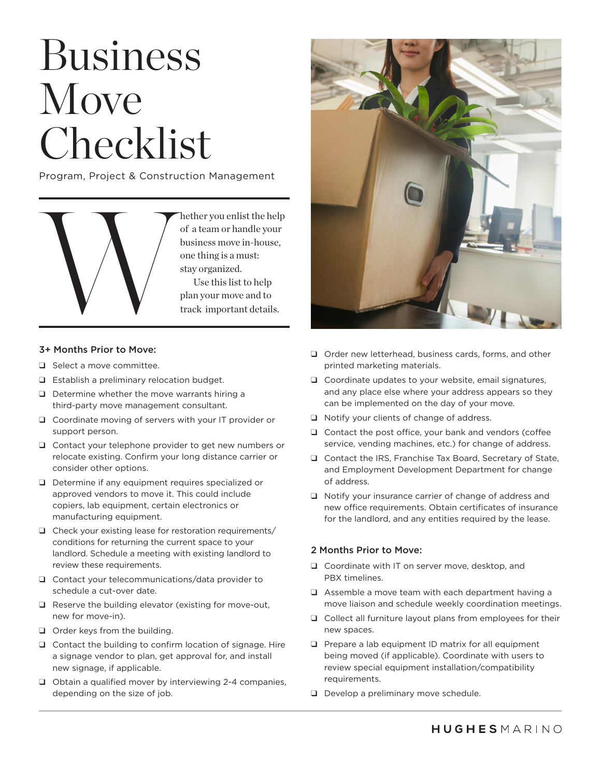# Business Move Checklist

Program, Project & Construction Management



of a team or handle your business move in-house, one thing is a must: stay organized. Use this list to help plan your move and to track important details.

# 3+ Months Prior to Move:

- ❑ Select a move committee.
- ❑ Establish a preliminary relocation budget.
- ❑ Determine whether the move warrants hiring a third-party move management consultant.
- ❑ Coordinate moving of servers with your IT provider or support person.
- ❑ Contact your telephone provider to get new numbers or relocate existing. Confirm your long distance carrier or consider other options.
- ❑ Determine if any equipment requires specialized or approved vendors to move it. This could include copiers, lab equipment, certain electronics or manufacturing equipment.
- ❑ Check your existing lease for restoration requirements/ conditions for returning the current space to your landlord. Schedule a meeting with existing landlord to review these requirements.
- ❑ Contact your telecommunications/data provider to schedule a cut-over date.
- ❑ Reserve the building elevator (existing for move-out, new for move-in).
- ❑ Order keys from the building.
- ❑ Contact the building to confirm location of signage. Hire a signage vendor to plan, get approval for, and install new signage, if applicable.
- ❑ Obtain a qualified mover by interviewing 2-4 companies, depending on the size of job.



- ❑ Order new letterhead, business cards, forms, and other printed marketing materials.
- ❑ Coordinate updates to your website, email signatures, and any place else where your address appears so they can be implemented on the day of your move.
- ❑ Notify your clients of change of address.
- ❑ Contact the post office, your bank and vendors (coffee service, vending machines, etc.) for change of address.
- ❑ Contact the IRS, Franchise Tax Board, Secretary of State, and Employment Development Department for change of address.
- ❑ Notify your insurance carrier of change of address and new office requirements. Obtain certificates of insurance for the landlord, and any entities required by the lease.

# 2 Months Prior to Move:

- ❑ Coordinate with IT on server move, desktop, and PBX timelines.
- ❑ Assemble a move team with each department having a move liaison and schedule weekly coordination meetings.
- ❑ Collect all furniture layout plans from employees for their new spaces.
- ❑ Prepare a lab equipment ID matrix for all equipment being moved (if applicable). Coordinate with users to review special equipment installation/compatibility requirements.
- ❑ Develop a preliminary move schedule.